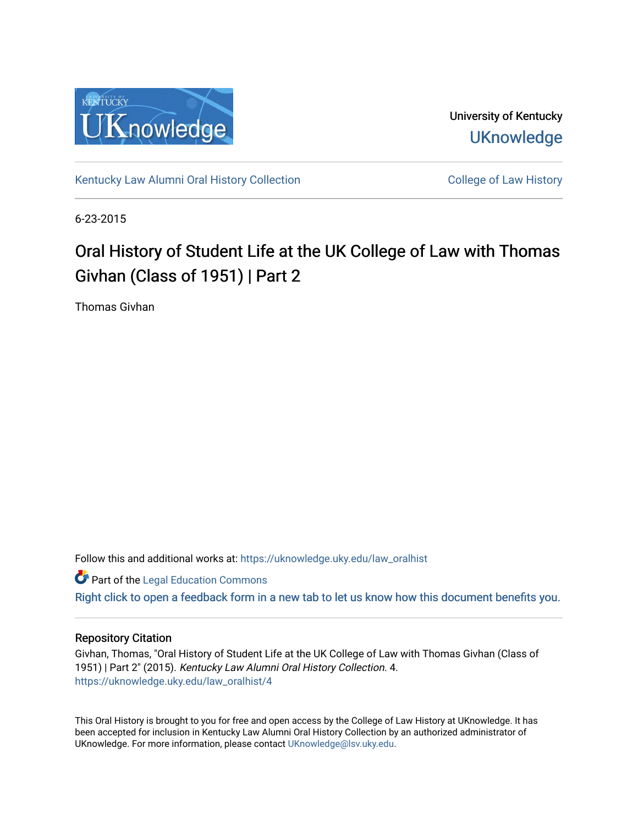

University of Kentucky **UKnowledge** 

[Kentucky Law Alumni Oral History Collection](https://uknowledge.uky.edu/law_oralhist) **Collection** College of Law History

6-23-2015

## Oral History of Student Life at the UK College of Law with Thomas Givhan (Class of 1951) | Part 2

Thomas Givhan

Follow this and additional works at: [https://uknowledge.uky.edu/law\\_oralhist](https://uknowledge.uky.edu/law_oralhist?utm_source=uknowledge.uky.edu%2Flaw_oralhist%2F4&utm_medium=PDF&utm_campaign=PDFCoverPages)

**Part of the Legal Education Commons** 

[Right click to open a feedback form in a new tab to let us know how this document benefits you.](https://uky.az1.qualtrics.com/jfe/form/SV_9mq8fx2GnONRfz7)

## Repository Citation

Givhan, Thomas, "Oral History of Student Life at the UK College of Law with Thomas Givhan (Class of 1951) | Part 2" (2015). Kentucky Law Alumni Oral History Collection. 4. [https://uknowledge.uky.edu/law\\_oralhist/4](https://uknowledge.uky.edu/law_oralhist/4?utm_source=uknowledge.uky.edu%2Flaw_oralhist%2F4&utm_medium=PDF&utm_campaign=PDFCoverPages)

This Oral History is brought to you for free and open access by the College of Law History at UKnowledge. It has been accepted for inclusion in Kentucky Law Alumni Oral History Collection by an authorized administrator of UKnowledge. For more information, please contact [UKnowledge@lsv.uky.edu](mailto:UKnowledge@lsv.uky.edu).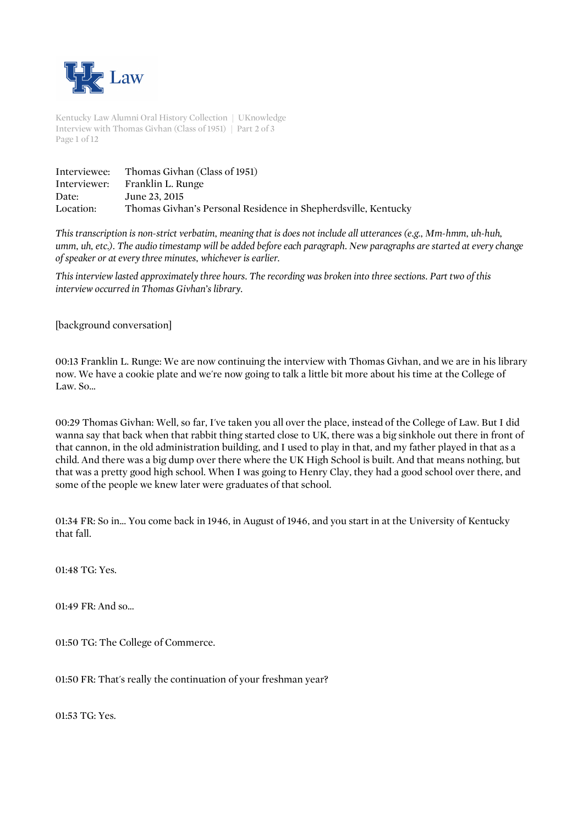

Kentucky Law Alumni Oral History Collection | UKnowledge Interview with Thomas Givhan (Class of 1951) | Part 2 of 3 Page 1 of 12

| Interviewee: | Thomas Givhan (Class of 1951)                                  |
|--------------|----------------------------------------------------------------|
|              | Interviewer: Franklin L. Runge                                 |
| Date:        | June 23, 2015                                                  |
| Location:    | Thomas Givhan's Personal Residence in Shepherdsville, Kentucky |

*This transcription is non-strict verbatim, meaning that is does not include all utterances (e.g., Mm-hmm, uh-huh, umm, uh, etc.). The audio timestamp will be added before each paragraph. New paragraphs are started at every change of speaker or at every three minutes, whichever is earlier.*

*This interview lasted approximately three hours. The recording was broken into three sections. Part two of this interview occurred in Thomas Givhan's library.* 

[background conversation]

00:13 Franklin L. Runge: We are now continuing the interview with Thomas Givhan, and we are in his library now. We have a cookie plate and we're now going to talk a little bit more about his time at the College of Law. So...

00:29 Thomas Givhan: Well, so far, I've taken you all over the place, instead of the College of Law. But I did wanna say that back when that rabbit thing started close to UK, there was a big sinkhole out there in front of that cannon, in the old administration building, and I used to play in that, and my father played in that as a child. And there was a big dump over there where the UK High School is built. And that means nothing, but that was a pretty good high school. When I was going to Henry Clay, they had a good school over there, and some of the people we knew later were graduates of that school.

01:34 FR: So in... You come back in 1946, in August of 1946, and you start in at the University of Kentucky that fall.

01:48 TG: Yes.

01:49 FR: And so...

01:50 TG: The College of Commerce.

01:50 FR: That's really the continuation of your freshman year?

01:53 TG: Yes.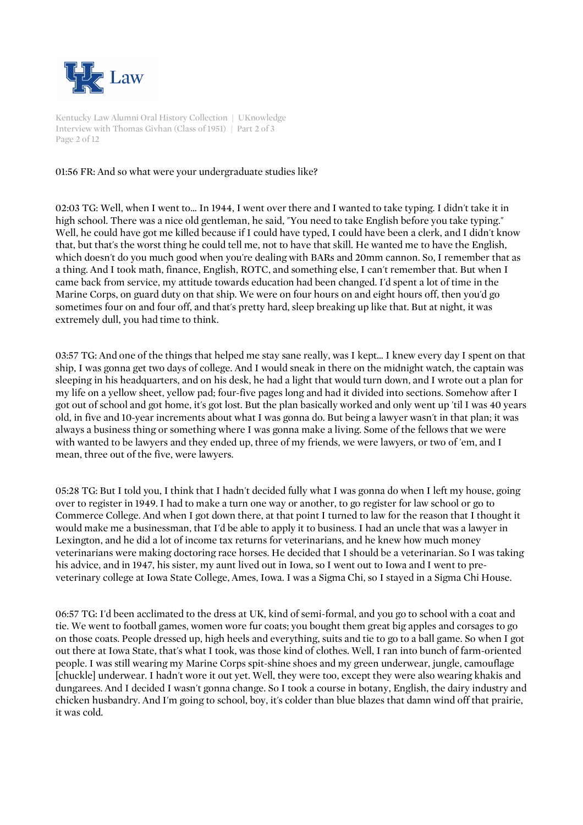

Kentucky Law Alumni Oral History Collection | UKnowledge Interview with Thomas Givhan (Class of 1951) | Part 2 of 3 Page 2 of 12

## 01:56 FR: And so what were your undergraduate studies like?

02:03 TG: Well, when I went to... In 1944, I went over there and I wanted to take typing. I didn't take it in high school. There was a nice old gentleman, he said, "You need to take English before you take typing." Well, he could have got me killed because if I could have typed, I could have been a clerk, and I didn't know that, but that's the worst thing he could tell me, not to have that skill. He wanted me to have the English, which doesn't do you much good when you're dealing with BARs and 20mm cannon. So, I remember that as a thing. And I took math, finance, English, ROTC, and something else, I can't remember that. But when I came back from service, my attitude towards education had been changed. I'd spent a lot of time in the Marine Corps, on guard duty on that ship. We were on four hours on and eight hours off, then you'd go sometimes four on and four off, and that's pretty hard, sleep breaking up like that. But at night, it was extremely dull, you had time to think.

03:57 TG: And one of the things that helped me stay sane really, was I kept... I knew every day I spent on that ship, I was gonna get two days of college. And I would sneak in there on the midnight watch, the captain was sleeping in his headquarters, and on his desk, he had a light that would turn down, and I wrote out a plan for my life on a yellow sheet, yellow pad; four-five pages long and had it divided into sections. Somehow after I got out of school and got home, it's got lost. But the plan basically worked and only went up 'til I was 40 years old, in five and 10-year increments about what I was gonna do. But being a lawyer wasn't in that plan; it was always a business thing or something where I was gonna make a living. Some of the fellows that we were with wanted to be lawyers and they ended up, three of my friends, we were lawyers, or two of 'em, and I mean, three out of the five, were lawyers.

05:28 TG: But I told you, I think that I hadn't decided fully what I was gonna do when I left my house, going over to register in 1949. I had to make a turn one way or another, to go register for law school or go to Commerce College. And when I got down there, at that point I turned to law for the reason that I thought it would make me a businessman, that I'd be able to apply it to business. I had an uncle that was a lawyer in Lexington, and he did a lot of income tax returns for veterinarians, and he knew how much money veterinarians were making doctoring race horses. He decided that I should be a veterinarian. So I was taking his advice, and in 1947, his sister, my aunt lived out in Iowa, so I went out to Iowa and I went to preveterinary college at Iowa State College, Ames, Iowa. I was a Sigma Chi, so I stayed in a Sigma Chi House.

06:57 TG: I'd been acclimated to the dress at UK, kind of semi-formal, and you go to school with a coat and tie. We went to football games, women wore fur coats; you bought them great big apples and corsages to go on those coats. People dressed up, high heels and everything, suits and tie to go to a ball game. So when I got out there at Iowa State, that's what I took, was those kind of clothes. Well, I ran into bunch of farm-oriented people. I was still wearing my Marine Corps spit-shine shoes and my green underwear, jungle, camouflage [chuckle] underwear. I hadn't wore it out yet. Well, they were too, except they were also wearing khakis and dungarees. And I decided I wasn't gonna change. So I took a course in botany, English, the dairy industry and chicken husbandry. And I'm going to school, boy, it's colder than blue blazes that damn wind off that prairie, it was cold.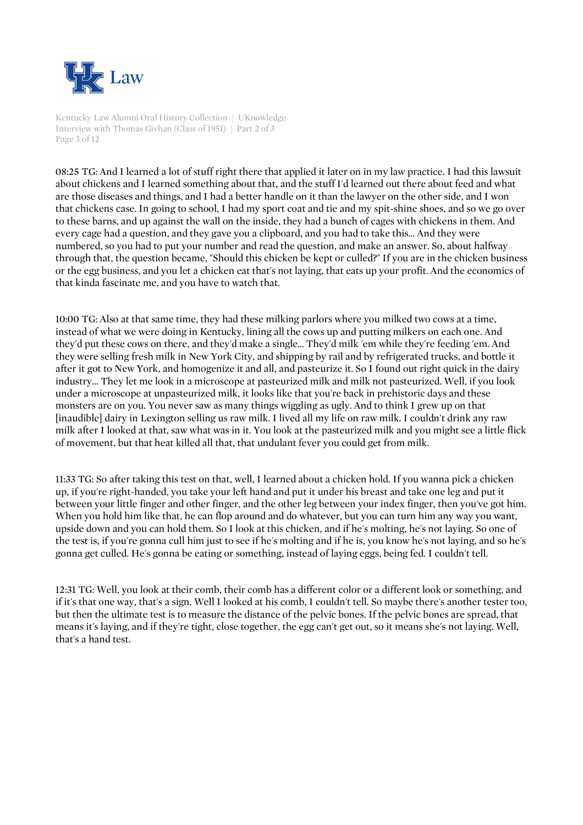

Kentucky Law Alumni Oral History Collection | UKnowledge Interview with Thomas Givhan (Class of 1951) | Part 2 of 3 Page 3 of 12

08:25 TG: And I learned a lot of stuff right there that applied it later on in my law practice. I had this lawsuit about chickens and I learned something about that, and the stuff I'd learned out there about feed and what are those diseases and things, and I had a better handle on it than the lawyer on the other side, and I won that chickens case. In going to school, I had my sport coat and tie and my spit-shine shoes, and so we go over to these barns, and up against the wall on the inside, they had a bunch of cages with chickens in them. And every cage had a question, and they gave you a clipboard, and you had to take this... And they were numbered, so you had to put your number and read the question, and make an answer. So, about halfway through that, the question became, "Should this chicken be kept or culled?" If you are in the chicken business or the egg business, and you let a chicken eat that's not laying, that eats up your profit. And the economics of that kinda fascinate me, and you have to watch that.

10:00 TG: Also at that same time, they had these milking parlors where you milked two cows at a time, instead of what we were doing in Kentucky, lining all the cows up and putting milkers on each one. And they'd put these cows on there, and they'd make a single... They'd milk 'em while they're feeding 'em. And they were selling fresh milk in New York City, and shipping by rail and by refrigerated trucks, and bottle it after it got to New York, and homogenize it and all, and pasteurize it. So I found out right quick in the dairy industry... They let me look in a microscope at pasteurized milk and milk not pasteurized. Well, if you look under a microscope at unpasteurized milk, it looks like that you're back in prehistoric days and these monsters are on you. You never saw as many things wiggling as ugly. And to think I grew up on that [inaudible] dairy in Lexington selling us raw milk. I lived all my life on raw milk. I couldn't drink any raw milk after I looked at that, saw what was in it. You look at the pasteurized milk and you might see a little flick of movement, but that heat killed all that, that undulant fever you could get from milk.

11:33 TG: So after taking this test on that, well, I learned about a chicken hold. If you wanna pick a chicken up, if you're right-handed, you take your left hand and put it under his breast and take one leg and put it between your little finger and other finger, and the other leg between your index finger, then you've got him. When you hold him like that, he can flop around and do whatever, but you can turn him any way you want, upside down and you can hold them. So I look at this chicken, and if he's molting, he's not laying. So one of the test is, if you're gonna cull him just to see if he's molting and if he is, you know he's not laying, and so he's gonna get culled. He's gonna be eating or something, instead of laying eggs, being fed. I couldn't tell.

12:31 TG: Well, you look at their comb, their comb has a different color or a different look or something, and if it's that one way, that's a sign. Well I looked at his comb, I couldn't tell. So maybe there's another tester too, but then the ultimate test is to measure the distance of the pelvic bones. If the pelvic bones are spread, that means it's laying, and if they're tight, close together, the egg can't get out, so it means she's not laying. Well, that's a hand test.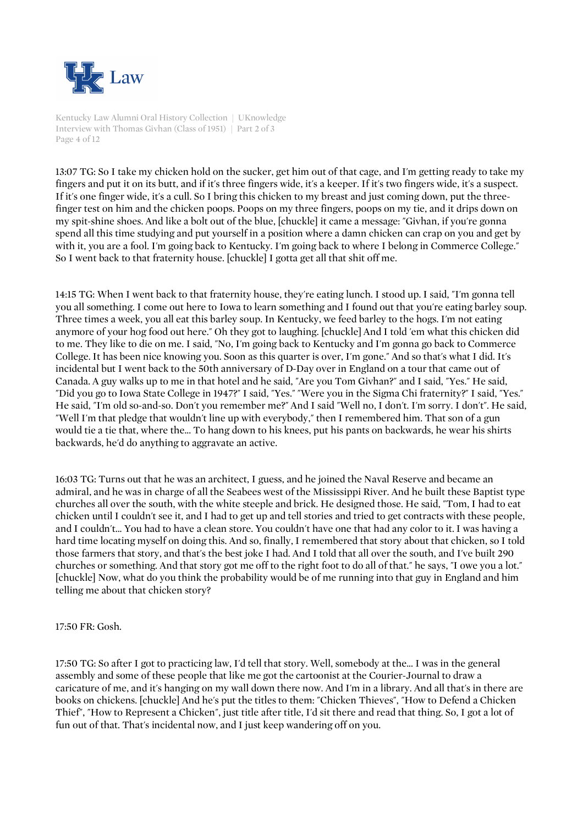

Kentucky Law Alumni Oral History Collection | UKnowledge Interview with Thomas Givhan (Class of 1951) | Part 2 of 3 Page 4 of 12

13:07 TG: So I take my chicken hold on the sucker, get him out of that cage, and I'm getting ready to take my fingers and put it on its butt, and if it's three fingers wide, it's a keeper. If it's two fingers wide, it's a suspect. If it's one finger wide, it's a cull. So I bring this chicken to my breast and just coming down, put the threefinger test on him and the chicken poops. Poops on my three fingers, poops on my tie, and it drips down on my spit-shine shoes. And like a bolt out of the blue, [chuckle] it came a message: "Givhan, if you're gonna spend all this time studying and put yourself in a position where a damn chicken can crap on you and get by with it, you are a fool. I'm going back to Kentucky. I'm going back to where I belong in Commerce College." So I went back to that fraternity house. [chuckle] I gotta get all that shit off me.

14:15 TG: When I went back to that fraternity house, they're eating lunch. I stood up. I said, "I'm gonna tell you all something. I come out here to Iowa to learn something and I found out that you're eating barley soup. Three times a week, you all eat this barley soup. In Kentucky, we feed barley to the hogs. I'm not eating anymore of your hog food out here." Oh they got to laughing. [chuckle] And I told 'em what this chicken did to me. They like to die on me. I said, "No, I'm going back to Kentucky and I'm gonna go back to Commerce College. It has been nice knowing you. Soon as this quarter is over, I'm gone." And so that's what I did. It's incidental but I went back to the 50th anniversary of D-Day over in England on a tour that came out of Canada. A guy walks up to me in that hotel and he said, "Are you Tom Givhan?" and I said, "Yes." He said, "Did you go to Iowa State College in 1947?" I said, "Yes." "Were you in the Sigma Chi fraternity?" I said, "Yes." He said, "I'm old so-and-so. Don't you remember me?" And I said "Well no, I don't. I'm sorry. I don't". He said, "Well I'm that pledge that wouldn't line up with everybody," then I remembered him. That son of a gun would tie a tie that, where the... To hang down to his knees, put his pants on backwards, he wear his shirts backwards, he'd do anything to aggravate an active.

16:03 TG: Turns out that he was an architect, I guess, and he joined the Naval Reserve and became an admiral, and he was in charge of all the Seabees west of the Mississippi River. And he built these Baptist type churches all over the south, with the white steeple and brick. He designed those. He said, "Tom, I had to eat chicken until I couldn't see it, and I had to get up and tell stories and tried to get contracts with these people, and I couldn't... You had to have a clean store. You couldn't have one that had any color to it. I was having a hard time locating myself on doing this. And so, finally, I remembered that story about that chicken, so I told those farmers that story, and that's the best joke I had. And I told that all over the south, and I've built 290 churches or something. And that story got me off to the right foot to do all of that." he says, "I owe you a lot." [chuckle] Now, what do you think the probability would be of me running into that guy in England and him telling me about that chicken story?

17:50 FR: Gosh.

17:50 TG: So after I got to practicing law, I'd tell that story. Well, somebody at the... I was in the general assembly and some of these people that like me got the cartoonist at the Courier-Journal to draw a caricature of me, and it's hanging on my wall down there now. And I'm in a library. And all that's in there are books on chickens. [chuckle] And he's put the titles to them: "Chicken Thieves", "How to Defend a Chicken Thief", "How to Represent a Chicken", just title after title, I'd sit there and read that thing. So, I got a lot of fun out of that. That's incidental now, and I just keep wandering off on you.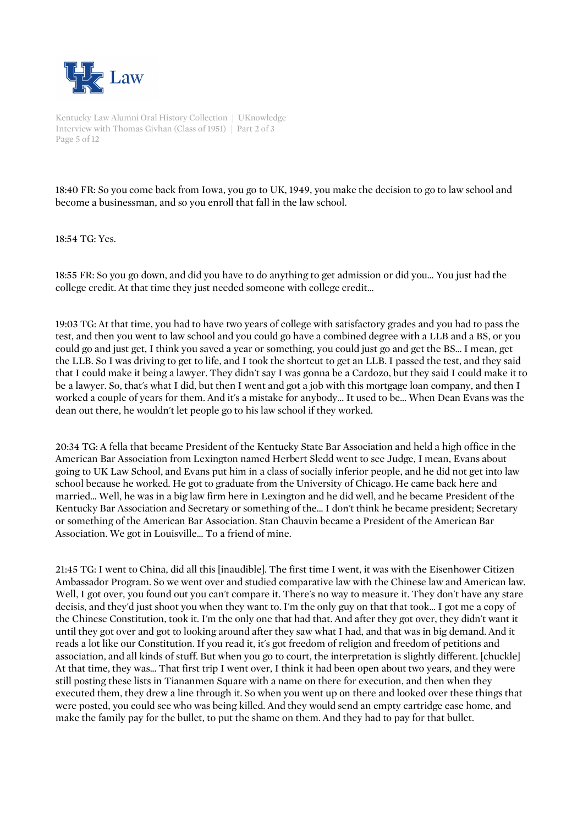

Kentucky Law Alumni Oral History Collection | UKnowledge Interview with Thomas Givhan (Class of 1951) | Part 2 of 3 Page 5 of 12

18:40 FR: So you come back from Iowa, you go to UK, 1949, you make the decision to go to law school and become a businessman, and so you enroll that fall in the law school.

18:54 TG: Yes.

18:55 FR: So you go down, and did you have to do anything to get admission or did you... You just had the college credit. At that time they just needed someone with college credit...

19:03 TG: At that time, you had to have two years of college with satisfactory grades and you had to pass the test, and then you went to law school and you could go have a combined degree with a LLB and a BS, or you could go and just get, I think you saved a year or something, you could just go and get the BS... I mean, get the LLB. So I was driving to get to life, and I took the shortcut to get an LLB. I passed the test, and they said that I could make it being a lawyer. They didn't say I was gonna be a Cardozo, but they said I could make it to be a lawyer. So, that's what I did, but then I went and got a job with this mortgage loan company, and then I worked a couple of years for them. And it's a mistake for anybody... It used to be... When Dean Evans was the dean out there, he wouldn't let people go to his law school if they worked.

20:34 TG: A fella that became President of the Kentucky State Bar Association and held a high office in the American Bar Association from Lexington named Herbert Sledd went to see Judge, I mean, Evans about going to UK Law School, and Evans put him in a class of socially inferior people, and he did not get into law school because he worked. He got to graduate from the University of Chicago. He came back here and married... Well, he was in a big law firm here in Lexington and he did well, and he became President of the Kentucky Bar Association and Secretary or something of the... I don't think he became president; Secretary or something of the American Bar Association. Stan Chauvin became a President of the American Bar Association. We got in Louisville... To a friend of mine.

21:45 TG: I went to China, did all this [inaudible]. The first time I went, it was with the Eisenhower Citizen Ambassador Program. So we went over and studied comparative law with the Chinese law and American law. Well, I got over, you found out you can't compare it. There's no way to measure it. They don't have any stare decisis, and they'd just shoot you when they want to. I'm the only guy on that that took... I got me a copy of the Chinese Constitution, took it. I'm the only one that had that. And after they got over, they didn't want it until they got over and got to looking around after they saw what I had, and that was in big demand. And it reads a lot like our Constitution. If you read it, it's got freedom of religion and freedom of petitions and association, and all kinds of stuff. But when you go to court, the interpretation is slightly different. [chuckle] At that time, they was... That first trip I went over, I think it had been open about two years, and they were still posting these lists in Tiananmen Square with a name on there for execution, and then when they executed them, they drew a line through it. So when you went up on there and looked over these things that were posted, you could see who was being killed. And they would send an empty cartridge case home, and make the family pay for the bullet, to put the shame on them. And they had to pay for that bullet.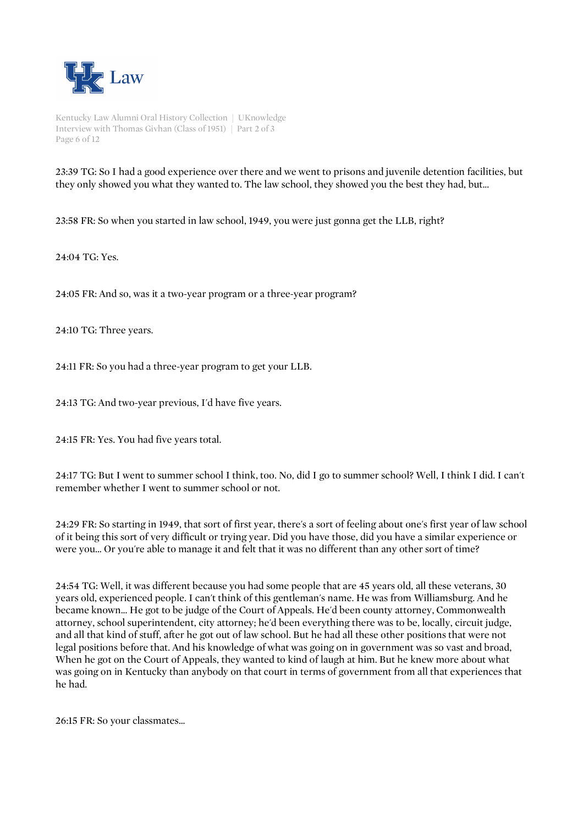

Kentucky Law Alumni Oral History Collection | UKnowledge Interview with Thomas Givhan (Class of 1951) | Part 2 of 3 Page 6 of 12

23:39 TG: So I had a good experience over there and we went to prisons and juvenile detention facilities, but they only showed you what they wanted to. The law school, they showed you the best they had, but...

23:58 FR: So when you started in law school, 1949, you were just gonna get the LLB, right?

24:04 TG: Yes.

24:05 FR: And so, was it a two-year program or a three-year program?

24:10 TG: Three years.

24:11 FR: So you had a three-year program to get your LLB.

24:13 TG: And two-year previous, I'd have five years.

24:15 FR: Yes. You had five years total.

24:17 TG: But I went to summer school I think, too. No, did I go to summer school? Well, I think I did. I can't remember whether I went to summer school or not.

24:29 FR: So starting in 1949, that sort of first year, there's a sort of feeling about one's first year of law school of it being this sort of very difficult or trying year. Did you have those, did you have a similar experience or were you... Or you're able to manage it and felt that it was no different than any other sort of time?

24:54 TG: Well, it was different because you had some people that are 45 years old, all these veterans, 30 years old, experienced people. I can't think of this gentleman's name. He was from Williamsburg. And he became known... He got to be judge of the Court of Appeals. He'd been county attorney, Commonwealth attorney, school superintendent, city attorney; he'd been everything there was to be, locally, circuit judge, and all that kind of stuff, after he got out of law school. But he had all these other positions that were not legal positions before that. And his knowledge of what was going on in government was so vast and broad, When he got on the Court of Appeals, they wanted to kind of laugh at him. But he knew more about what was going on in Kentucky than anybody on that court in terms of government from all that experiences that he had.

26:15 FR: So your classmates...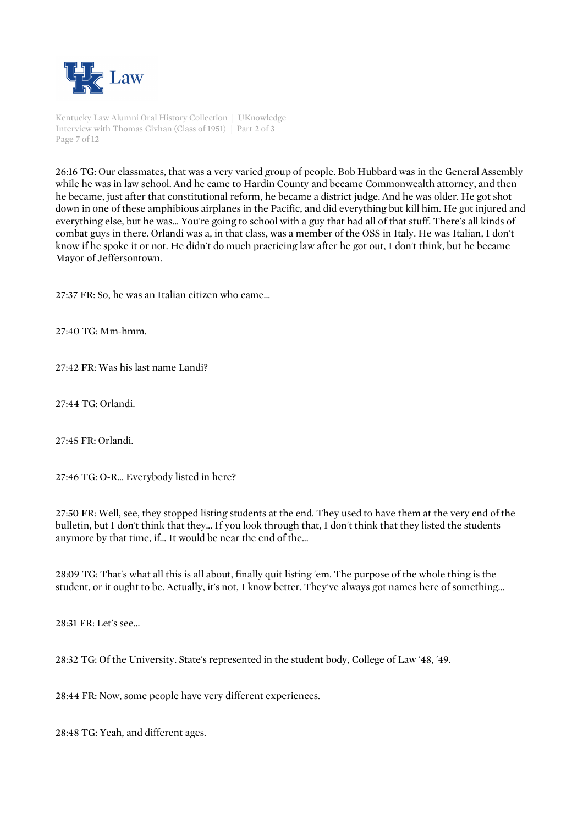

Kentucky Law Alumni Oral History Collection | UKnowledge Interview with Thomas Givhan (Class of 1951) | Part 2 of 3 Page 7 of 12

26:16 TG: Our classmates, that was a very varied group of people. Bob Hubbard was in the General Assembly while he was in law school. And he came to Hardin County and became Commonwealth attorney, and then he became, just after that constitutional reform, he became a district judge. And he was older. He got shot down in one of these amphibious airplanes in the Pacific, and did everything but kill him. He got injured and everything else, but he was... You're going to school with a guy that had all of that stuff. There's all kinds of combat guys in there. Orlandi was a, in that class, was a member of the OSS in Italy. He was Italian, I don't know if he spoke it or not. He didn't do much practicing law after he got out, I don't think, but he became Mayor of Jeffersontown.

27:37 FR: So, he was an Italian citizen who came...

27:40 TG: Mm-hmm.

27:42 FR: Was his last name Landi?

27:44 TG: Orlandi.

27:45 FR: Orlandi.

27:46 TG: O-R... Everybody listed in here?

27:50 FR: Well, see, they stopped listing students at the end. They used to have them at the very end of the bulletin, but I don't think that they... If you look through that, I don't think that they listed the students anymore by that time, if... It would be near the end of the...

28:09 TG: That's what all this is all about, finally quit listing 'em. The purpose of the whole thing is the student, or it ought to be. Actually, it's not, I know better. They've always got names here of something...

28:31 FR: Let's see...

28:32 TG: Of the University. State's represented in the student body, College of Law '48, '49.

28:44 FR: Now, some people have very different experiences.

28:48 TG: Yeah, and different ages.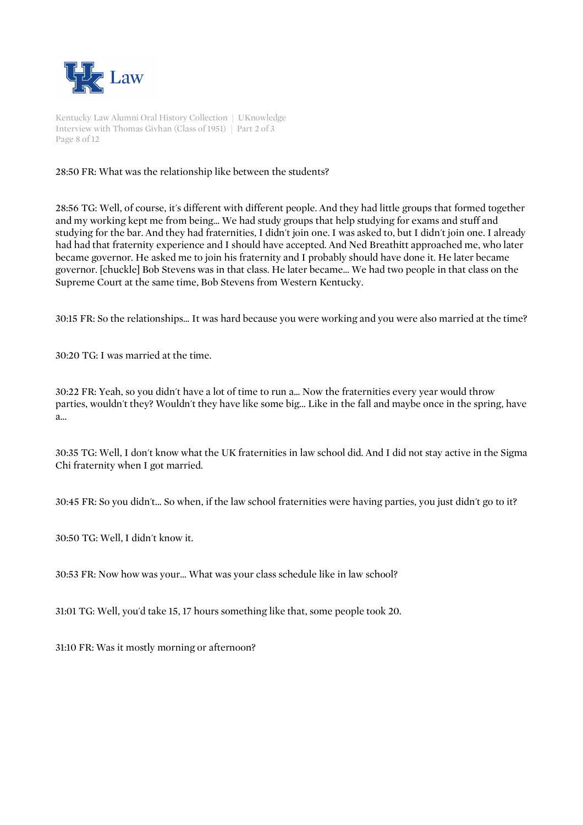

Kentucky Law Alumni Oral History Collection | UKnowledge Interview with Thomas Givhan (Class of 1951) | Part 2 of 3 Page 8 of 12

## 28:50 FR: What was the relationship like between the students?

28:56 TG: Well, of course, it's different with different people. And they had little groups that formed together and my working kept me from being... We had study groups that help studying for exams and stuff and studying for the bar. And they had fraternities, I didn't join one. I was asked to, but I didn't join one. I already had had that fraternity experience and I should have accepted. And Ned Breathitt approached me, who later became governor. He asked me to join his fraternity and I probably should have done it. He later became governor. [chuckle] Bob Stevens was in that class. He later became... We had two people in that class on the Supreme Court at the same time, Bob Stevens from Western Kentucky.

30:15 FR: So the relationships... It was hard because you were working and you were also married at the time?

30:20 TG: I was married at the time.

30:22 FR: Yeah, so you didn't have a lot of time to run a... Now the fraternities every year would throw parties, wouldn't they? Wouldn't they have like some big... Like in the fall and maybe once in the spring, have a...

30:35 TG: Well, I don't know what the UK fraternities in law school did. And I did not stay active in the Sigma Chi fraternity when I got married.

30:45 FR: So you didn't... So when, if the law school fraternities were having parties, you just didn't go to it?

30:50 TG: Well, I didn't know it.

30:53 FR: Now how was your... What was your class schedule like in law school?

31:01 TG: Well, you'd take 15, 17 hours something like that, some people took 20.

31:10 FR: Was it mostly morning or afternoon?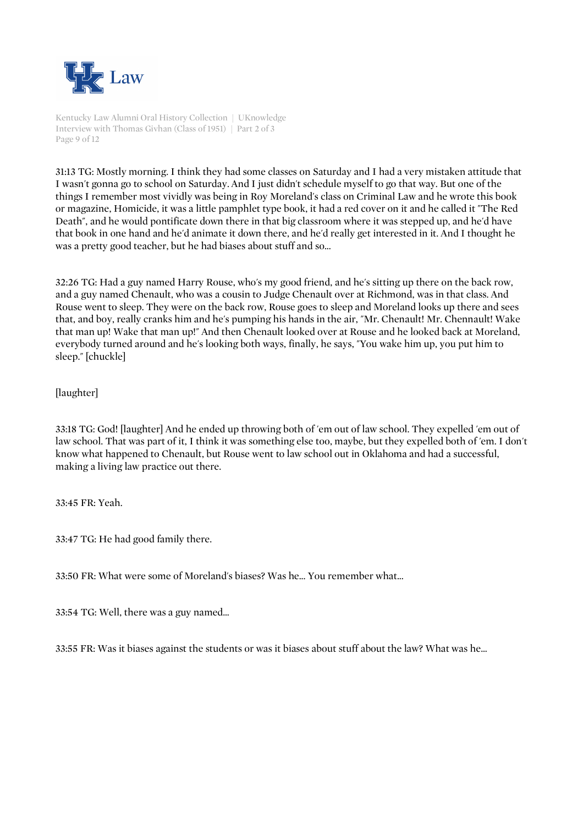

Kentucky Law Alumni Oral History Collection | UKnowledge Interview with Thomas Givhan (Class of 1951) | Part 2 of 3 Page 9 of 12

31:13 TG: Mostly morning. I think they had some classes on Saturday and I had a very mistaken attitude that I wasn't gonna go to school on Saturday. And I just didn't schedule myself to go that way. But one of the things I remember most vividly was being in Roy Moreland's class on Criminal Law and he wrote this book or magazine, Homicide, it was a little pamphlet type book, it had a red cover on it and he called it "The Red Death", and he would pontificate down there in that big classroom where it was stepped up, and he'd have that book in one hand and he'd animate it down there, and he'd really get interested in it. And I thought he was a pretty good teacher, but he had biases about stuff and so...

32:26 TG: Had a guy named Harry Rouse, who's my good friend, and he's sitting up there on the back row, and a guy named Chenault, who was a cousin to Judge Chenault over at Richmond, was in that class. And Rouse went to sleep. They were on the back row, Rouse goes to sleep and Moreland looks up there and sees that, and boy, really cranks him and he's pumping his hands in the air, "Mr. Chenault! Mr. Chennault! Wake that man up! Wake that man up!" And then Chenault looked over at Rouse and he looked back at Moreland, everybody turned around and he's looking both ways, finally, he says, "You wake him up, you put him to sleep." [chuckle]

[laughter]

33:18 TG: God! [laughter] And he ended up throwing both of 'em out of law school. They expelled 'em out of law school. That was part of it, I think it was something else too, maybe, but they expelled both of 'em. I don't know what happened to Chenault, but Rouse went to law school out in Oklahoma and had a successful, making a living law practice out there.

33:45 FR: Yeah.

33:47 TG: He had good family there.

33:50 FR: What were some of Moreland's biases? Was he... You remember what...

33:54 TG: Well, there was a guy named...

33:55 FR: Was it biases against the students or was it biases about stuff about the law? What was he...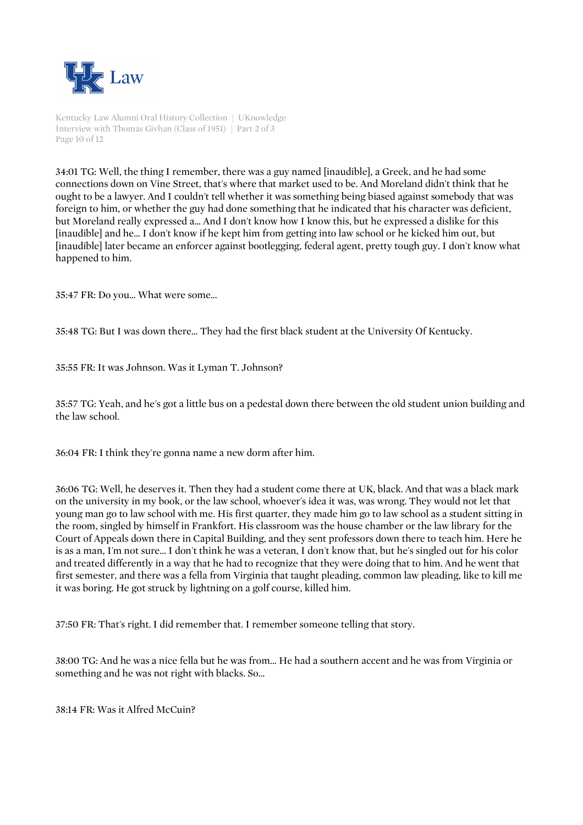

Kentucky Law Alumni Oral History Collection | UKnowledge Interview with Thomas Givhan (Class of 1951) | Part 2 of 3 Page 10 of 12

34:01 TG: Well, the thing I remember, there was a guy named [inaudible], a Greek, and he had some connections down on Vine Street, that's where that market used to be. And Moreland didn't think that he ought to be a lawyer. And I couldn't tell whether it was something being biased against somebody that was foreign to him, or whether the guy had done something that he indicated that his character was deficient, but Moreland really expressed a... And I don't know how I know this, but he expressed a dislike for this [inaudible] and he... I don't know if he kept him from getting into law school or he kicked him out, but [inaudible] later became an enforcer against bootlegging, federal agent, pretty tough guy. I don't know what happened to him.

35:47 FR: Do you... What were some...

35:48 TG: But I was down there... They had the first black student at the University Of Kentucky.

35:55 FR: It was Johnson. Was it Lyman T. Johnson?

35:57 TG: Yeah, and he's got a little bus on a pedestal down there between the old student union building and the law school.

36:04 FR: I think they're gonna name a new dorm after him.

36:06 TG: Well, he deserves it. Then they had a student come there at UK, black. And that was a black mark on the university in my book, or the law school, whoever's idea it was, was wrong. They would not let that young man go to law school with me. His first quarter, they made him go to law school as a student sitting in the room, singled by himself in Frankfort. His classroom was the house chamber or the law library for the Court of Appeals down there in Capital Building, and they sent professors down there to teach him. Here he is as a man, I'm not sure... I don't think he was a veteran, I don't know that, but he's singled out for his color and treated differently in a way that he had to recognize that they were doing that to him. And he went that first semester, and there was a fella from Virginia that taught pleading, common law pleading, like to kill me it was boring. He got struck by lightning on a golf course, killed him.

37:50 FR: That's right. I did remember that. I remember someone telling that story.

38:00 TG: And he was a nice fella but he was from... He had a southern accent and he was from Virginia or something and he was not right with blacks. So...

38:14 FR: Was it Alfred McCuin?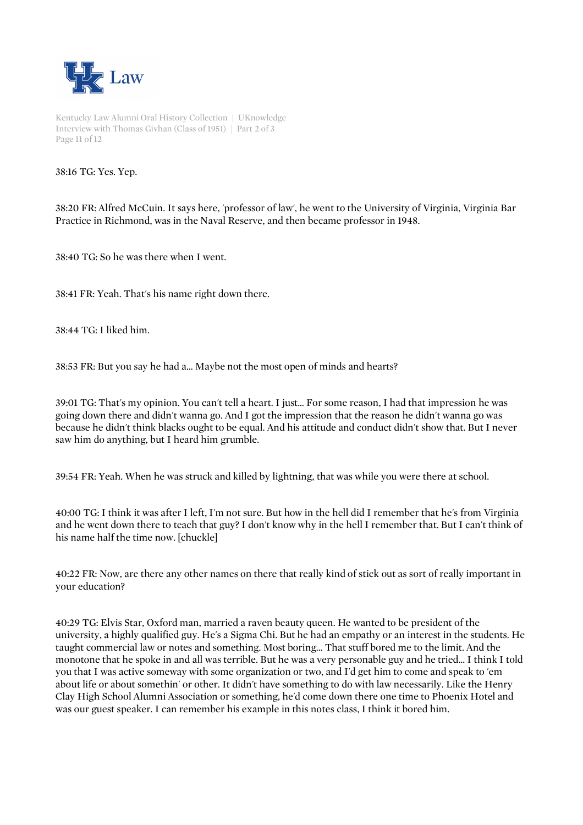

Kentucky Law Alumni Oral History Collection | UKnowledge Interview with Thomas Givhan (Class of 1951) | Part 2 of 3 Page 11 of 12

38:16 TG: Yes. Yep.

38:20 FR: Alfred McCuin. It says here, 'professor of law', he went to the University of Virginia, Virginia Bar Practice in Richmond, was in the Naval Reserve, and then became professor in 1948.

38:40 TG: So he was there when I went.

38:41 FR: Yeah. That's his name right down there.

38:44 TG: I liked him.

38:53 FR: But you say he had a... Maybe not the most open of minds and hearts?

39:01 TG: That's my opinion. You can't tell a heart. I just... For some reason, I had that impression he was going down there and didn't wanna go. And I got the impression that the reason he didn't wanna go was because he didn't think blacks ought to be equal. And his attitude and conduct didn't show that. But I never saw him do anything, but I heard him grumble.

39:54 FR: Yeah. When he was struck and killed by lightning, that was while you were there at school.

40:00 TG: I think it was after I left, I'm not sure. But how in the hell did I remember that he's from Virginia and he went down there to teach that guy? I don't know why in the hell I remember that. But I can't think of his name half the time now. [chuckle]

40:22 FR: Now, are there any other names on there that really kind of stick out as sort of really important in your education?

40:29 TG: Elvis Star, Oxford man, married a raven beauty queen. He wanted to be president of the university, a highly qualified guy. He's a Sigma Chi. But he had an empathy or an interest in the students. He taught commercial law or notes and something. Most boring... That stuff bored me to the limit. And the monotone that he spoke in and all was terrible. But he was a very personable guy and he tried... I think I told you that I was active someway with some organization or two, and I'd get him to come and speak to 'em about life or about somethin' or other. It didn't have something to do with law necessarily. Like the Henry Clay High School Alumni Association or something, he'd come down there one time to Phoenix Hotel and was our guest speaker. I can remember his example in this notes class, I think it bored him.